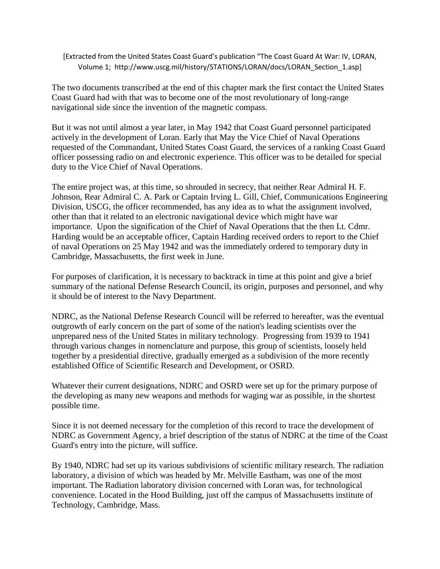[Extracted from the United States Coast Guard's publication "The Coast Guard At War: IV, LORAN, Volume 1; http://www.uscg.mil/history/STATIONS/LORAN/docs/LORAN\_Section\_1.asp]

The two documents transcribed at the end of this chapter mark the first contact the United States Coast Guard had with that was to become one of the most revolutionary of long-range navigational side since the invention of the magnetic compass.

But it was not until almost a year later, in May 1942 that Coast Guard personnel participated actively in the development of Loran. Early that May the Vice Chief of Naval Operations requested of the Commandant, United States Coast Guard, the services of a ranking Coast Guard officer possessing radio on and electronic experience. This officer was to be detailed for special duty to the Vice Chief of Naval Operations.

The entire project was, at this time, so shrouded in secrecy, that neither Rear Admiral H. F. Johnson, Rear Admiral C. A. Park or Captain Irving L. Gill, Chief, Communications Engineering Division, USCG, the officer recommended, has any idea as to what the assignment involved, other than that it related to an electronic navigational device which might have war importance. Upon the signification of the Chief of Naval Operations that the then Lt. Cdmr. Harding would be an acceptable officer, Captain Harding received orders to report to the Chief of naval Operations on 25 May 1942 and was the immediately ordered to temporary duty in Cambridge, Massachusetts, the first week in June.

For purposes of clarification, it is necessary to backtrack in time at this point and give a brief summary of the national Defense Research Council, its origin, purposes and personnel, and why it should be of interest to the Navy Department.

NDRC, as the National Defense Research Council will be referred to hereafter, was the eventual outgrowth of early concern on the part of some of the nation's leading scientists over the unprepared ness of the United States in military technology. Progressing from 1939 to 1941 through various changes in nomenclature and purpose, this group of scientists, loosely held together by a presidential directive, gradually emerged as a subdivision of the more recently established Office of Scientific Research and Development, or OSRD.

Whatever their current designations, NDRC and OSRD were set up for the primary purpose of the developing as many new weapons and methods for waging war as possible, in the shortest possible time.

Since it is not deemed necessary for the completion of this record to trace the development of NDRC as Government Agency, a brief description of the status of NDRC at the time of the Coast Guard's entry into the picture, will suffice.

By 1940, NDRC had set up its various subdivisions of scientific military research. The radiation laboratory, a division of which was headed by Mr. Melville Eastham, was one of the most important. The Radiation laboratory division concerned with Loran was, for technological convenience. Located in the Hood Building, just off the campus of Massachusetts institute of Technology, Cambridge, Mass.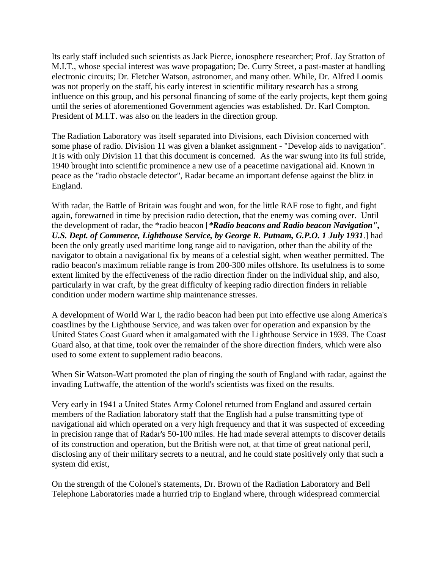Its early staff included such scientists as Jack Pierce, ionosphere researcher; Prof. Jay Stratton of M.I.T., whose special interest was wave propagation; De. Curry Street, a past-master at handling electronic circuits; Dr. Fletcher Watson, astronomer, and many other. While, Dr. Alfred Loomis was not properly on the staff, his early interest in scientific military research has a strong influence on this group, and his personal financing of some of the early projects, kept them going until the series of aforementioned Government agencies was established. Dr. Karl Compton. President of M.I.T. was also on the leaders in the direction group.

The Radiation Laboratory was itself separated into Divisions, each Division concerned with some phase of radio. Division 11 was given a blanket assignment - "Develop aids to navigation". It is with only Division 11 that this document is concerned. As the war swung into its full stride, 1940 brought into scientific prominence a new use of a peacetime navigational aid. Known in peace as the "radio obstacle detector", Radar became an important defense against the blitz in England.

With radar, the Battle of Britain was fought and won, for the little RAF rose to fight, and fight again, forewarned in time by precision radio detection, that the enemy was coming over. Until the development of radar, the \*radio beacon [*\*Radio beacons and Radio beacon Navigation", U.S. Dept. of Commerce, Lighthouse Service, by George R. Putnam, G.P.O. 1 July 1931*.] had been the only greatly used maritime long range aid to navigation, other than the ability of the navigator to obtain a navigational fix by means of a celestial sight, when weather permitted. The radio beacon's maximum reliable range is from 200-300 miles offshore. Its usefulness is to some extent limited by the effectiveness of the radio direction finder on the individual ship, and also, particularly in war craft, by the great difficulty of keeping radio direction finders in reliable condition under modern wartime ship maintenance stresses.

A development of World War I, the radio beacon had been put into effective use along America's coastlines by the Lighthouse Service, and was taken over for operation and expansion by the United States Coast Guard when it amalgamated with the Lighthouse Service in 1939. The Coast Guard also, at that time, took over the remainder of the shore direction finders, which were also used to some extent to supplement radio beacons.

When Sir Watson-Watt promoted the plan of ringing the south of England with radar, against the invading Luftwaffe, the attention of the world's scientists was fixed on the results.

Very early in 1941 a United States Army Colonel returned from England and assured certain members of the Radiation laboratory staff that the English had a pulse transmitting type of navigational aid which operated on a very high frequency and that it was suspected of exceeding in precision range that of Radar's 50-100 miles. He had made several attempts to discover details of its construction and operation, but the British were not, at that time of great national peril, disclosing any of their military secrets to a neutral, and he could state positively only that such a system did exist,

On the strength of the Colonel's statements, Dr. Brown of the Radiation Laboratory and Bell Telephone Laboratories made a hurried trip to England where, through widespread commercial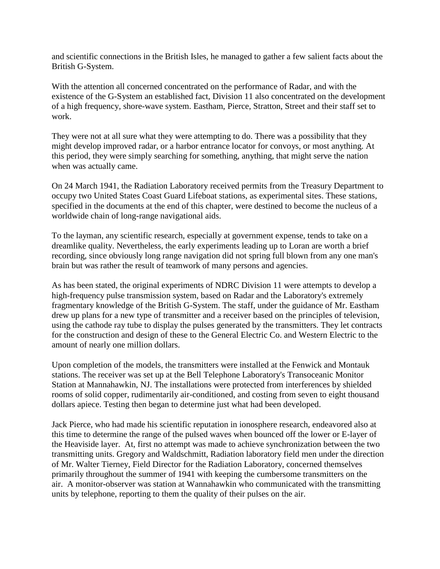and scientific connections in the British Isles, he managed to gather a few salient facts about the British G-System.

With the attention all concerned concentrated on the performance of Radar, and with the existence of the G-System an established fact, Division 11 also concentrated on the development of a high frequency, shore-wave system. Eastham, Pierce, Stratton, Street and their staff set to work.

They were not at all sure what they were attempting to do. There was a possibility that they might develop improved radar, or a harbor entrance locator for convoys, or most anything. At this period, they were simply searching for something, anything, that might serve the nation when was actually came.

On 24 March 1941, the Radiation Laboratory received permits from the Treasury Department to occupy two United States Coast Guard Lifeboat stations, as experimental sites. These stations, specified in the documents at the end of this chapter, were destined to become the nucleus of a worldwide chain of long-range navigational aids.

To the layman, any scientific research, especially at government expense, tends to take on a dreamlike quality. Nevertheless, the early experiments leading up to Loran are worth a brief recording, since obviously long range navigation did not spring full blown from any one man's brain but was rather the result of teamwork of many persons and agencies.

As has been stated, the original experiments of NDRC Division 11 were attempts to develop a high-frequency pulse transmission system, based on Radar and the Laboratory's extremely fragmentary knowledge of the British G-System. The staff, under the guidance of Mr. Eastham drew up plans for a new type of transmitter and a receiver based on the principles of television, using the cathode ray tube to display the pulses generated by the transmitters. They let contracts for the construction and design of these to the General Electric Co. and Western Electric to the amount of nearly one million dollars.

Upon completion of the models, the transmitters were installed at the Fenwick and Montauk stations. The receiver was set up at the Bell Telephone Laboratory's Transoceanic Monitor Station at Mannahawkin, NJ. The installations were protected from interferences by shielded rooms of solid copper, rudimentarily air-conditioned, and costing from seven to eight thousand dollars apiece. Testing then began to determine just what had been developed.

Jack Pierce, who had made his scientific reputation in ionosphere research, endeavored also at this time to determine the range of the pulsed waves when bounced off the lower or E-layer of the Heaviside layer. At, first no attempt was made to achieve synchronization between the two transmitting units. Gregory and Waldschmitt, Radiation laboratory field men under the direction of Mr. Walter Tierney, Field Director for the Radiation Laboratory, concerned themselves primarily throughout the summer of 1941 with keeping the cumbersome transmitters on the air. A monitor-observer was station at Wannahawkin who communicated with the transmitting units by telephone, reporting to them the quality of their pulses on the air.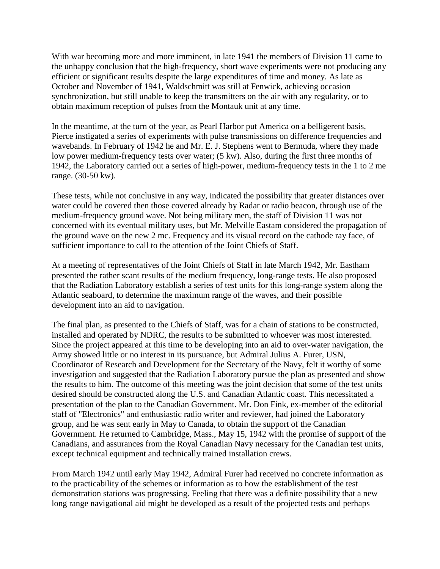With war becoming more and more imminent, in late 1941 the members of Division 11 came to the unhappy conclusion that the high-frequency, short wave experiments were not producing any efficient or significant results despite the large expenditures of time and money. As late as October and November of 1941, Waldschmitt was still at Fenwick, achieving occasion synchronization, but still unable to keep the transmitters on the air with any regularity, or to obtain maximum reception of pulses from the Montauk unit at any time.

In the meantime, at the turn of the year, as Pearl Harbor put America on a belligerent basis, Pierce instigated a series of experiments with pulse transmissions on difference frequencies and wavebands. In February of 1942 he and Mr. E. J. Stephens went to Bermuda, where they made low power medium-frequency tests over water; (5 kw). Also, during the first three months of 1942, the Laboratory carried out a series of high-power, medium-frequency tests in the 1 to 2 me range. (30-50 kw).

These tests, while not conclusive in any way, indicated the possibility that greater distances over water could be covered then those covered already by Radar or radio beacon, through use of the medium-frequency ground wave. Not being military men, the staff of Division 11 was not concerned with its eventual military uses, but Mr. Melville Eastam considered the propagation of the ground wave on the new 2 mc. Frequency and its visual record on the cathode ray face, of sufficient importance to call to the attention of the Joint Chiefs of Staff.

At a meeting of representatives of the Joint Chiefs of Staff in late March 1942, Mr. Eastham presented the rather scant results of the medium frequency, long-range tests. He also proposed that the Radiation Laboratory establish a series of test units for this long-range system along the Atlantic seaboard, to determine the maximum range of the waves, and their possible development into an aid to navigation.

The final plan, as presented to the Chiefs of Staff, was for a chain of stations to be constructed, installed and operated by NDRC, the results to be submitted to whoever was most interested. Since the project appeared at this time to be developing into an aid to over-water navigation, the Army showed little or no interest in its pursuance, but Admiral Julius A. Furer, USN, Coordinator of Research and Development for the Secretary of the Navy, felt it worthy of some investigation and suggested that the Radiation Laboratory pursue the plan as presented and show the results to him. The outcome of this meeting was the joint decision that some of the test units desired should be constructed along the U.S. and Canadian Atlantic coast. This necessitated a presentation of the plan to the Canadian Government. Mr. Don Fink, ex-member of the editorial staff of "Electronics" and enthusiastic radio writer and reviewer, had joined the Laboratory group, and he was sent early in May to Canada, to obtain the support of the Canadian Government. He returned to Cambridge, Mass., May 15, 1942 with the promise of support of the Canadians, and assurances from the Royal Canadian Navy necessary for the Canadian test units, except technical equipment and technically trained installation crews.

From March 1942 until early May 1942, Admiral Furer had received no concrete information as to the practicability of the schemes or information as to how the establishment of the test demonstration stations was progressing. Feeling that there was a definite possibility that a new long range navigational aid might be developed as a result of the projected tests and perhaps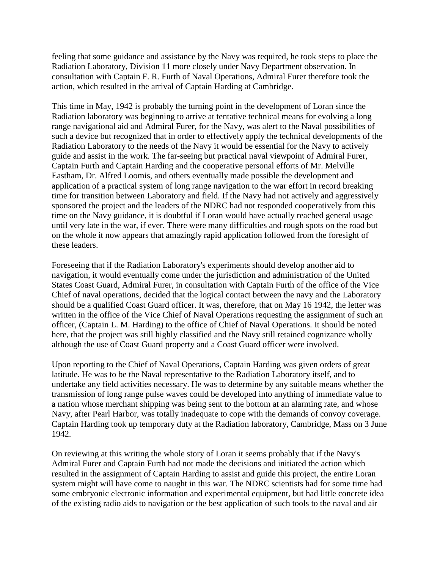feeling that some guidance and assistance by the Navy was required, he took steps to place the Radiation Laboratory, Division 11 more closely under Navy Department observation. In consultation with Captain F. R. Furth of Naval Operations, Admiral Furer therefore took the action, which resulted in the arrival of Captain Harding at Cambridge.

This time in May, 1942 is probably the turning point in the development of Loran since the Radiation laboratory was beginning to arrive at tentative technical means for evolving a long range navigational aid and Admiral Furer, for the Navy, was alert to the Naval possibilities of such a device but recognized that in order to effectively apply the technical developments of the Radiation Laboratory to the needs of the Navy it would be essential for the Navy to actively guide and assist in the work. The far-seeing but practical naval viewpoint of Admiral Furer, Captain Furth and Captain Harding and the cooperative personal efforts of Mr. Melville Eastham, Dr. Alfred Loomis, and others eventually made possible the development and application of a practical system of long range navigation to the war effort in record breaking time for transition between Laboratory and field. If the Navy had not actively and aggressively sponsored the project and the leaders of the NDRC had not responded cooperatively from this time on the Navy guidance, it is doubtful if Loran would have actually reached general usage until very late in the war, if ever. There were many difficulties and rough spots on the road but on the whole it now appears that amazingly rapid application followed from the foresight of these leaders.

Foreseeing that if the Radiation Laboratory's experiments should develop another aid to navigation, it would eventually come under the jurisdiction and administration of the United States Coast Guard, Admiral Furer, in consultation with Captain Furth of the office of the Vice Chief of naval operations, decided that the logical contact between the navy and the Laboratory should be a qualified Coast Guard officer. It was, therefore, that on May 16 1942, the letter was written in the office of the Vice Chief of Naval Operations requesting the assignment of such an officer, (Captain L. M. Harding) to the office of Chief of Naval Operations. It should be noted here, that the project was still highly classified and the Navy still retained cognizance wholly although the use of Coast Guard property and a Coast Guard officer were involved.

Upon reporting to the Chief of Naval Operations, Captain Harding was given orders of great latitude. He was to be the Naval representative to the Radiation Laboratory itself, and to undertake any field activities necessary. He was to determine by any suitable means whether the transmission of long range pulse waves could be developed into anything of immediate value to a nation whose merchant shipping was being sent to the bottom at an alarming rate, and whose Navy, after Pearl Harbor, was totally inadequate to cope with the demands of convoy coverage. Captain Harding took up temporary duty at the Radiation laboratory, Cambridge, Mass on 3 June 1942.

On reviewing at this writing the whole story of Loran it seems probably that if the Navy's Admiral Furer and Captain Furth had not made the decisions and initiated the action which resulted in the assignment of Captain Harding to assist and guide this project, the entire Loran system might will have come to naught in this war. The NDRC scientists had for some time had some embryonic electronic information and experimental equipment, but had little concrete idea of the existing radio aids to navigation or the best application of such tools to the naval and air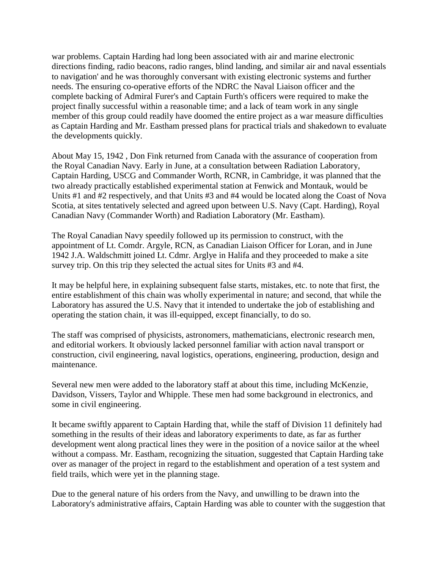war problems. Captain Harding had long been associated with air and marine electronic directions finding, radio beacons, radio ranges, blind landing, and similar air and naval essentials to navigation' and he was thoroughly conversant with existing electronic systems and further needs. The ensuring co-operative efforts of the NDRC the Naval Liaison officer and the complete backing of Admiral Furer's and Captain Furth's officers were required to make the project finally successful within a reasonable time; and a lack of team work in any single member of this group could readily have doomed the entire project as a war measure difficulties as Captain Harding and Mr. Eastham pressed plans for practical trials and shakedown to evaluate the developments quickly.

About May 15, 1942 , Don Fink returned from Canada with the assurance of cooperation from the Royal Canadian Navy. Early in June, at a consultation between Radiation Laboratory, Captain Harding, USCG and Commander Worth, RCNR, in Cambridge, it was planned that the two already practically established experimental station at Fenwick and Montauk, would be Units #1 and #2 respectively, and that Units #3 and #4 would be located along the Coast of Nova Scotia, at sites tentatively selected and agreed upon between U.S. Navy (Capt. Harding), Royal Canadian Navy (Commander Worth) and Radiation Laboratory (Mr. Eastham).

The Royal Canadian Navy speedily followed up its permission to construct, with the appointment of Lt. Comdr. Argyle, RCN, as Canadian Liaison Officer for Loran, and in June 1942 J.A. Waldschmitt joined Lt. Cdmr. Arglye in Halifa and they proceeded to make a site survey trip. On this trip they selected the actual sites for Units #3 and #4.

It may be helpful here, in explaining subsequent false starts, mistakes, etc. to note that first, the entire establishment of this chain was wholly experimental in nature; and second, that while the Laboratory has assured the U.S. Navy that it intended to undertake the job of establishing and operating the station chain, it was ill-equipped, except financially, to do so.

The staff was comprised of physicists, astronomers, mathematicians, electronic research men, and editorial workers. It obviously lacked personnel familiar with action naval transport or construction, civil engineering, naval logistics, operations, engineering, production, design and maintenance.

Several new men were added to the laboratory staff at about this time, including McKenzie, Davidson, Vissers, Taylor and Whipple. These men had some background in electronics, and some in civil engineering.

It became swiftly apparent to Captain Harding that, while the staff of Division 11 definitely had something in the results of their ideas and laboratory experiments to date, as far as further development went along practical lines they were in the position of a novice sailor at the wheel without a compass. Mr. Eastham, recognizing the situation, suggested that Captain Harding take over as manager of the project in regard to the establishment and operation of a test system and field trails, which were yet in the planning stage.

Due to the general nature of his orders from the Navy, and unwilling to be drawn into the Laboratory's administrative affairs, Captain Harding was able to counter with the suggestion that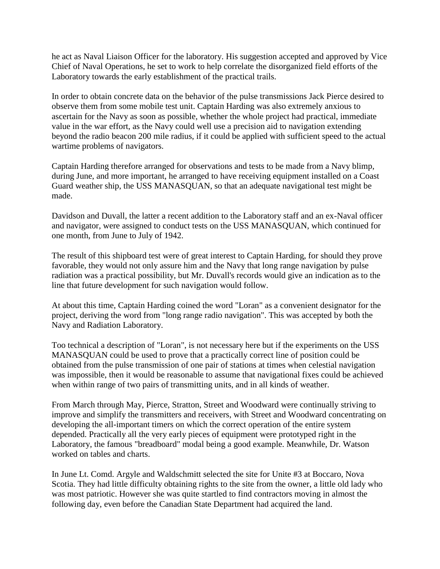he act as Naval Liaison Officer for the laboratory. His suggestion accepted and approved by Vice Chief of Naval Operations, he set to work to help correlate the disorganized field efforts of the Laboratory towards the early establishment of the practical trails.

In order to obtain concrete data on the behavior of the pulse transmissions Jack Pierce desired to observe them from some mobile test unit. Captain Harding was also extremely anxious to ascertain for the Navy as soon as possible, whether the whole project had practical, immediate value in the war effort, as the Navy could well use a precision aid to navigation extending beyond the radio beacon 200 mile radius, if it could be applied with sufficient speed to the actual wartime problems of navigators.

Captain Harding therefore arranged for observations and tests to be made from a Navy blimp, during June, and more important, he arranged to have receiving equipment installed on a Coast Guard weather ship, the USS MANASQUAN, so that an adequate navigational test might be made.

Davidson and Duvall, the latter a recent addition to the Laboratory staff and an ex-Naval officer and navigator, were assigned to conduct tests on the USS MANASQUAN, which continued for one month, from June to July of 1942.

The result of this shipboard test were of great interest to Captain Harding, for should they prove favorable, they would not only assure him and the Navy that long range navigation by pulse radiation was a practical possibility, but Mr. Duvall's records would give an indication as to the line that future development for such navigation would follow.

At about this time, Captain Harding coined the word "Loran" as a convenient designator for the project, deriving the word from "long range radio navigation". This was accepted by both the Navy and Radiation Laboratory.

Too technical a description of "Loran", is not necessary here but if the experiments on the USS MANASQUAN could be used to prove that a practically correct line of position could be obtained from the pulse transmission of one pair of stations at times when celestial navigation was impossible, then it would be reasonable to assume that navigational fixes could be achieved when within range of two pairs of transmitting units, and in all kinds of weather.

From March through May, Pierce, Stratton, Street and Woodward were continually striving to improve and simplify the transmitters and receivers, with Street and Woodward concentrating on developing the all-important timers on which the correct operation of the entire system depended. Practically all the very early pieces of equipment were prototyped right in the Laboratory, the famous "breadboard" modal being a good example. Meanwhile, Dr. Watson worked on tables and charts.

In June Lt. Comd. Argyle and Waldschmitt selected the site for Unite #3 at Boccaro, Nova Scotia. They had little difficulty obtaining rights to the site from the owner, a little old lady who was most patriotic. However she was quite startled to find contractors moving in almost the following day, even before the Canadian State Department had acquired the land.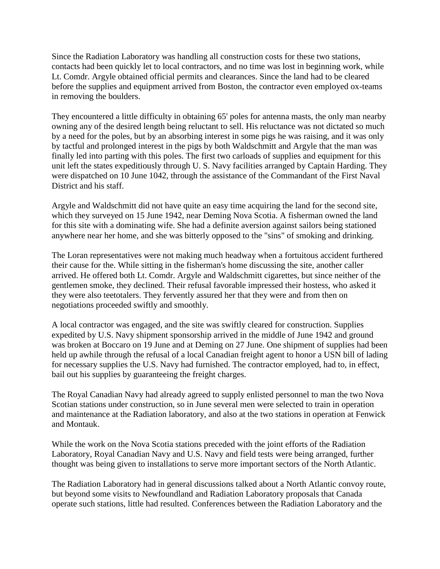Since the Radiation Laboratory was handling all construction costs for these two stations, contacts had been quickly let to local contractors, and no time was lost in beginning work, while Lt. Comdr. Argyle obtained official permits and clearances. Since the land had to be cleared before the supplies and equipment arrived from Boston, the contractor even employed ox-teams in removing the boulders.

They encountered a little difficulty in obtaining 65' poles for antenna masts, the only man nearby owning any of the desired length being reluctant to sell. His reluctance was not dictated so much by a need for the poles, but by an absorbing interest in some pigs he was raising, and it was only by tactful and prolonged interest in the pigs by both Waldschmitt and Argyle that the man was finally led into parting with this poles. The first two carloads of supplies and equipment for this unit left the states expeditiously through U. S. Navy facilities arranged by Captain Harding. They were dispatched on 10 June 1042, through the assistance of the Commandant of the First Naval District and his staff.

Argyle and Waldschmitt did not have quite an easy time acquiring the land for the second site, which they surveyed on 15 June 1942, near Deming Nova Scotia. A fisherman owned the land for this site with a dominating wife. She had a definite aversion against sailors being stationed anywhere near her home, and she was bitterly opposed to the "sins" of smoking and drinking.

The Loran representatives were not making much headway when a fortuitous accident furthered their cause for the. While sitting in the fisherman's home discussing the site, another caller arrived. He offered both Lt. Comdr. Argyle and Waldschmitt cigarettes, but since neither of the gentlemen smoke, they declined. Their refusal favorable impressed their hostess, who asked it they were also teetotalers. They fervently assured her that they were and from then on negotiations proceeded swiftly and smoothly.

A local contractor was engaged, and the site was swiftly cleared for construction. Supplies expedited by U.S. Navy shipment sponsorship arrived in the middle of June 1942 and ground was broken at Boccaro on 19 June and at Deming on 27 June. One shipment of supplies had been held up awhile through the refusal of a local Canadian freight agent to honor a USN bill of lading for necessary supplies the U.S. Navy had furnished. The contractor employed, had to, in effect, bail out his supplies by guaranteeing the freight charges.

The Royal Canadian Navy had already agreed to supply enlisted personnel to man the two Nova Scotian stations under construction, so in June several men were selected to train in operation and maintenance at the Radiation laboratory, and also at the two stations in operation at Fenwick and Montauk.

While the work on the Nova Scotia stations preceded with the joint efforts of the Radiation Laboratory, Royal Canadian Navy and U.S. Navy and field tests were being arranged, further thought was being given to installations to serve more important sectors of the North Atlantic.

The Radiation Laboratory had in general discussions talked about a North Atlantic convoy route, but beyond some visits to Newfoundland and Radiation Laboratory proposals that Canada operate such stations, little had resulted. Conferences between the Radiation Laboratory and the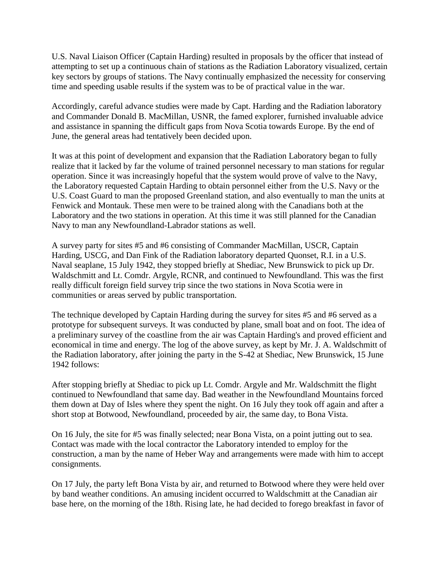U.S. Naval Liaison Officer (Captain Harding) resulted in proposals by the officer that instead of attempting to set up a continuous chain of stations as the Radiation Laboratory visualized, certain key sectors by groups of stations. The Navy continually emphasized the necessity for conserving time and speeding usable results if the system was to be of practical value in the war.

Accordingly, careful advance studies were made by Capt. Harding and the Radiation laboratory and Commander Donald B. MacMillan, USNR, the famed explorer, furnished invaluable advice and assistance in spanning the difficult gaps from Nova Scotia towards Europe. By the end of June, the general areas had tentatively been decided upon.

It was at this point of development and expansion that the Radiation Laboratory began to fully realize that it lacked by far the volume of trained personnel necessary to man stations for regular operation. Since it was increasingly hopeful that the system would prove of valve to the Navy, the Laboratory requested Captain Harding to obtain personnel either from the U.S. Navy or the U.S. Coast Guard to man the proposed Greenland station, and also eventually to man the units at Fenwick and Montauk. These men were to be trained along with the Canadians both at the Laboratory and the two stations in operation. At this time it was still planned for the Canadian Navy to man any Newfoundland-Labrador stations as well.

A survey party for sites #5 and #6 consisting of Commander MacMillan, USCR, Captain Harding, USCG, and Dan Fink of the Radiation laboratory departed Quonset, R.I. in a U.S. Naval seaplane, 15 July 1942, they stopped briefly at Shediac, New Brunswick to pick up Dr. Waldschmitt and Lt. Comdr. Argyle, RCNR, and continued to Newfoundland. This was the first really difficult foreign field survey trip since the two stations in Nova Scotia were in communities or areas served by public transportation.

The technique developed by Captain Harding during the survey for sites #5 and #6 served as a prototype for subsequent surveys. It was conducted by plane, small boat and on foot. The idea of a preliminary survey of the coastline from the air was Captain Harding's and proved efficient and economical in time and energy. The log of the above survey, as kept by Mr. J. A. Waldschmitt of the Radiation laboratory, after joining the party in the S-42 at Shediac, New Brunswick, 15 June 1942 follows:

After stopping briefly at Shediac to pick up Lt. Comdr. Argyle and Mr. Waldschmitt the flight continued to Newfoundland that same day. Bad weather in the Newfoundland Mountains forced them down at Day of Isles where they spent the night. On 16 July they took off again and after a short stop at Botwood, Newfoundland, proceeded by air, the same day, to Bona Vista.

On 16 July, the site for #5 was finally selected; near Bona Vista, on a point jutting out to sea. Contact was made with the local contractor the Laboratory intended to employ for the construction, a man by the name of Heber Way and arrangements were made with him to accept consignments.

On 17 July, the party left Bona Vista by air, and returned to Botwood where they were held over by band weather conditions. An amusing incident occurred to Waldschmitt at the Canadian air base here, on the morning of the 18th. Rising late, he had decided to forego breakfast in favor of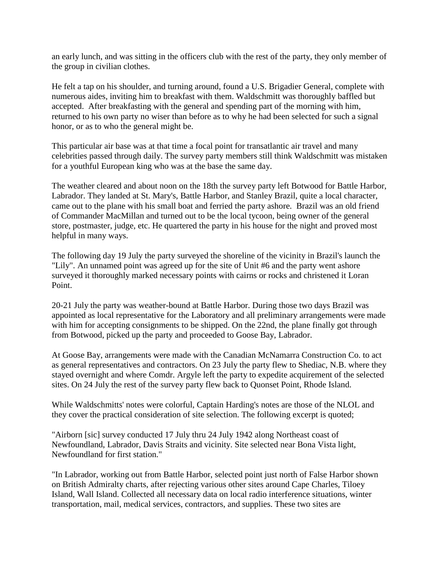an early lunch, and was sitting in the officers club with the rest of the party, they only member of the group in civilian clothes.

He felt a tap on his shoulder, and turning around, found a U.S. Brigadier General, complete with numerous aides, inviting him to breakfast with them. Waldschmitt was thoroughly baffled but accepted. After breakfasting with the general and spending part of the morning with him, returned to his own party no wiser than before as to why he had been selected for such a signal honor, or as to who the general might be.

This particular air base was at that time a focal point for transatlantic air travel and many celebrities passed through daily. The survey party members still think Waldschmitt was mistaken for a youthful European king who was at the base the same day.

The weather cleared and about noon on the 18th the survey party left Botwood for Battle Harbor, Labrador. They landed at St. Mary's, Battle Harbor, and Stanley Brazil, quite a local character, came out to the plane with his small boat and ferried the party ashore. Brazil was an old friend of Commander MacMillan and turned out to be the local tycoon, being owner of the general store, postmaster, judge, etc. He quartered the party in his house for the night and proved most helpful in many ways.

The following day 19 July the party surveyed the shoreline of the vicinity in Brazil's launch the "Lily". An unnamed point was agreed up for the site of Unit #6 and the party went ashore surveyed it thoroughly marked necessary points with cairns or rocks and christened it Loran Point.

20-21 July the party was weather-bound at Battle Harbor. During those two days Brazil was appointed as local representative for the Laboratory and all preliminary arrangements were made with him for accepting consignments to be shipped. On the 22nd, the plane finally got through from Botwood, picked up the party and proceeded to Goose Bay, Labrador.

At Goose Bay, arrangements were made with the Canadian McNamarra Construction Co. to act as general representatives and contractors. On 23 July the party flew to Shediac, N.B. where they stayed overnight and where Comdr. Argyle left the party to expedite acquirement of the selected sites. On 24 July the rest of the survey party flew back to Quonset Point, Rhode Island.

While Waldschmitts' notes were colorful, Captain Harding's notes are those of the NLOL and they cover the practical consideration of site selection. The following excerpt is quoted;

"Airborn [sic] survey conducted 17 July thru 24 July 1942 along Northeast coast of Newfoundland, Labrador, Davis Straits and vicinity. Site selected near Bona Vista light, Newfoundland for first station."

"In Labrador, working out from Battle Harbor, selected point just north of False Harbor shown on British Admiralty charts, after rejecting various other sites around Cape Charles, Tiloey Island, Wall Island. Collected all necessary data on local radio interference situations, winter transportation, mail, medical services, contractors, and supplies. These two sites are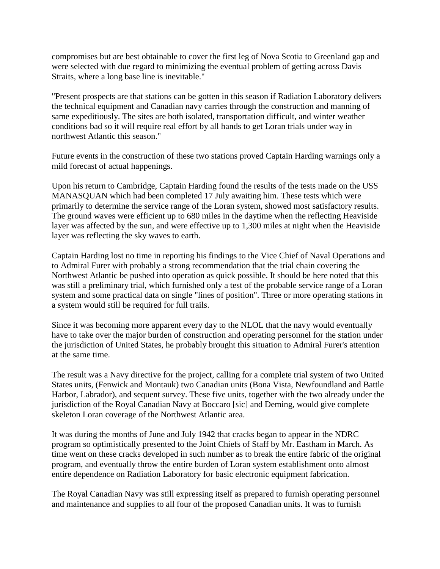compromises but are best obtainable to cover the first leg of Nova Scotia to Greenland gap and were selected with due regard to minimizing the eventual problem of getting across Davis Straits, where a long base line is inevitable."

"Present prospects are that stations can be gotten in this season if Radiation Laboratory delivers the technical equipment and Canadian navy carries through the construction and manning of same expeditiously. The sites are both isolated, transportation difficult, and winter weather conditions bad so it will require real effort by all hands to get Loran trials under way in northwest Atlantic this season."

Future events in the construction of these two stations proved Captain Harding warnings only a mild forecast of actual happenings.

Upon his return to Cambridge, Captain Harding found the results of the tests made on the USS MANASQUAN which had been completed 17 July awaiting him. These tests which were primarily to determine the service range of the Loran system, showed most satisfactory results. The ground waves were efficient up to 680 miles in the daytime when the reflecting Heaviside layer was affected by the sun, and were effective up to 1,300 miles at night when the Heaviside layer was reflecting the sky waves to earth.

Captain Harding lost no time in reporting his findings to the Vice Chief of Naval Operations and to Admiral Furer with probably a strong recommendation that the trial chain covering the Northwest Atlantic be pushed into operation as quick possible. It should be here noted that this was still a preliminary trial, which furnished only a test of the probable service range of a Loran system and some practical data on single "lines of position". Three or more operating stations in a system would still be required for full trails.

Since it was becoming more apparent every day to the NLOL that the navy would eventually have to take over the major burden of construction and operating personnel for the station under the jurisdiction of United States, he probably brought this situation to Admiral Furer's attention at the same time.

The result was a Navy directive for the project, calling for a complete trial system of two United States units, (Fenwick and Montauk) two Canadian units (Bona Vista, Newfoundland and Battle Harbor, Labrador), and sequent survey. These five units, together with the two already under the jurisdiction of the Royal Canadian Navy at Boccaro [sic] and Deming, would give complete skeleton Loran coverage of the Northwest Atlantic area.

It was during the months of June and July 1942 that cracks began to appear in the NDRC program so optimistically presented to the Joint Chiefs of Staff by Mr. Eastham in March. As time went on these cracks developed in such number as to break the entire fabric of the original program, and eventually throw the entire burden of Loran system establishment onto almost entire dependence on Radiation Laboratory for basic electronic equipment fabrication.

The Royal Canadian Navy was still expressing itself as prepared to furnish operating personnel and maintenance and supplies to all four of the proposed Canadian units. It was to furnish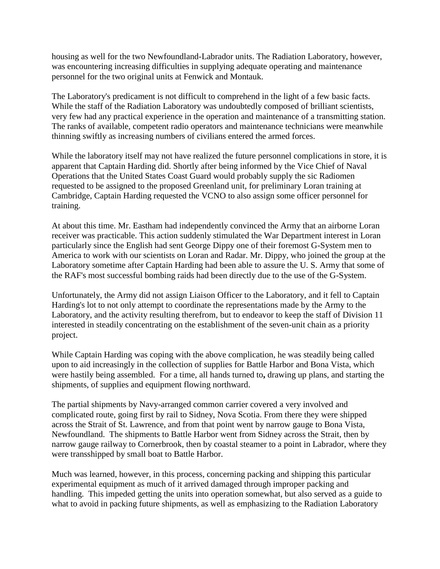housing as well for the two Newfoundland-Labrador units. The Radiation Laboratory, however, was encountering increasing difficulties in supplying adequate operating and maintenance personnel for the two original units at Fenwick and Montauk.

The Laboratory's predicament is not difficult to comprehend in the light of a few basic facts. While the staff of the Radiation Laboratory was undoubtedly composed of brilliant scientists, very few had any practical experience in the operation and maintenance of a transmitting station. The ranks of available, competent radio operators and maintenance technicians were meanwhile thinning swiftly as increasing numbers of civilians entered the armed forces.

While the laboratory itself may not have realized the future personnel complications in store, it is apparent that Captain Harding did. Shortly after being informed by the Vice Chief of Naval Operations that the United States Coast Guard would probably supply the sic Radiomen requested to be assigned to the proposed Greenland unit, for preliminary Loran training at Cambridge, Captain Harding requested the VCNO to also assign some officer personnel for training.

At about this time. Mr. Eastham had independently convinced the Army that an airborne Loran receiver was practicable. This action suddenly stimulated the War Department interest in Loran particularly since the English had sent George Dippy one of their foremost G-System men to America to work with our scientists on Loran and Radar. Mr. Dippy, who joined the group at the Laboratory sometime after Captain Harding had been able to assure the U. S. Army that some of the RAF's most successful bombing raids had been directly due to the use of the G-System.

Unfortunately, the Army did not assign Liaison Officer to the Laboratory, and it fell to Captain Harding's lot to not only attempt to coordinate the representations made by the Army to the Laboratory, and the activity resulting therefrom, but to endeavor to keep the staff of Division 11 interested in steadily concentrating on the establishment of the seven-unit chain as a priority project.

While Captain Harding was coping with the above complication, he was steadily being called upon to aid increasingly in the collection of supplies for Battle Harbor and Bona Vista, which were hastily being assembled. For a time, all hands turned to**,** drawing up plans, and starting the shipments, of supplies and equipment flowing northward.

The partial shipments by Navy-arranged common carrier covered a very involved and complicated route, going first by rail to Sidney, Nova Scotia. From there they were shipped across the Strait of St. Lawrence, and from that point went by narrow gauge to Bona Vista, Newfoundland. The shipments to Battle Harbor went from Sidney across the Strait, then by narrow gauge railway to Cornerbrook, then by coastal steamer to a point in Labrador, where they were transshipped by small boat to Battle Harbor.

Much was learned, however, in this process, concerning packing and shipping this particular experimental equipment as much of it arrived damaged through improper packing and handling. This impeded getting the units into operation somewhat, but also served as a guide to what to avoid in packing future shipments, as well as emphasizing to the Radiation Laboratory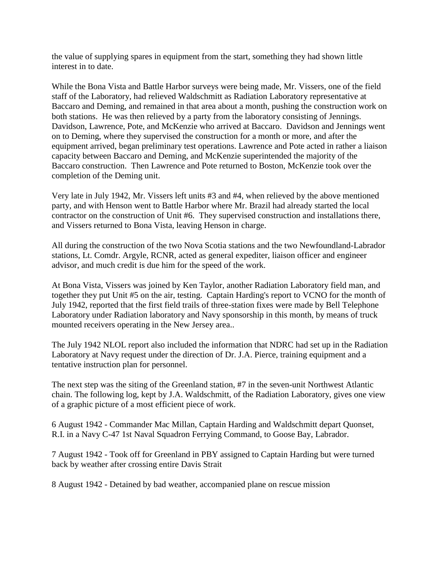the value of supplying spares in equipment from the start, something they had shown little interest in to date.

While the Bona Vista and Battle Harbor surveys were being made, Mr. Vissers, one of the field staff of the Laboratory, had relieved Waldschmitt as Radiation Laboratory representative at Baccaro and Deming, and remained in that area about a month, pushing the construction work on both stations. He was then relieved by a party from the laboratory consisting of Jennings. Davidson, Lawrence, Pote, and McKenzie who arrived at Baccaro. Davidson and Jennings went on to Deming, where they supervised the construction for a month or more, and after the equipment arrived, began preliminary test operations. Lawrence and Pote acted in rather a liaison capacity between Baccaro and Deming, and McKenzie superintended the majority of the Baccaro construction. Then Lawrence and Pote returned to Boston, McKenzie took over the completion of the Deming unit.

Very late in July 1942, Mr. Vissers left units #3 and #4, when relieved by the above mentioned party, and with Henson went to Battle Harbor where Mr. Brazil had already started the local contractor on the construction of Unit #6. They supervised construction and installations there, and Vissers returned to Bona Vista, leaving Henson in charge.

All during the construction of the two Nova Scotia stations and the two Newfoundland-Labrador stations, Lt. Comdr. Argyle, RCNR, acted as general expediter, liaison officer and engineer advisor, and much credit is due him for the speed of the work.

At Bona Vista, Vissers was joined by Ken Taylor, another Radiation Laboratory field man, and together they put Unit #5 on the air, testing. Captain Harding's report to VCNO for the month of July 1942, reported that the first field trails of three-station fixes were made by Bell Telephone Laboratory under Radiation laboratory and Navy sponsorship in this month, by means of truck mounted receivers operating in the New Jersey area..

The July 1942 NLOL report also included the information that NDRC had set up in the Radiation Laboratory at Navy request under the direction of Dr. J.A. Pierce, training equipment and a tentative instruction plan for personnel.

The next step was the siting of the Greenland station, #7 in the seven-unit Northwest Atlantic chain. The following log, kept by J.A. Waldschmitt, of the Radiation Laboratory, gives one view of a graphic picture of a most efficient piece of work.

6 August 1942 - Commander Mac Millan, Captain Harding and Waldschmitt depart Quonset, R.I. in a Navy C-47 1st Naval Squadron Ferrying Command, to Goose Bay, Labrador.

7 August 1942 - Took off for Greenland in PBY assigned to Captain Harding but were turned back by weather after crossing entire Davis Strait

8 August 1942 - Detained by bad weather, accompanied plane on rescue mission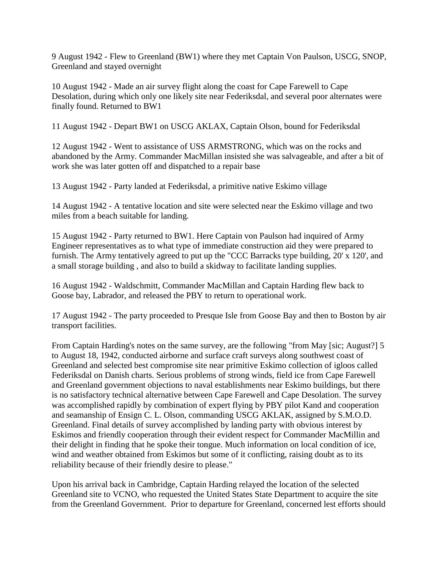9 August 1942 - Flew to Greenland (BW1) where they met Captain Von Paulson, USCG, SNOP, Greenland and stayed overnight

10 August 1942 - Made an air survey flight along the coast for Cape Farewell to Cape Desolation, during which only one likely site near Federiksdal, and several poor alternates were finally found. Returned to BW1

11 August 1942 - Depart BW1 on USCG AKLAX, Captain Olson, bound for Federiksdal

12 August 1942 - Went to assistance of USS ARMSTRONG, which was on the rocks and abandoned by the Army. Commander MacMillan insisted she was salvageable, and after a bit of work she was later gotten off and dispatched to a repair base

13 August 1942 - Party landed at Federiksdal, a primitive native Eskimo village

14 August 1942 - A tentative location and site were selected near the Eskimo village and two miles from a beach suitable for landing.

15 August 1942 - Party returned to BW1. Here Captain von Paulson had inquired of Army Engineer representatives as to what type of immediate construction aid they were prepared to furnish. The Army tentatively agreed to put up the "CCC Barracks type building, 20' x 120', and a small storage building , and also to build a skidway to facilitate landing supplies.

16 August 1942 - Waldschmitt, Commander MacMillan and Captain Harding flew back to Goose bay, Labrador, and released the PBY to return to operational work.

17 August 1942 - The party proceeded to Presque Isle from Goose Bay and then to Boston by air transport facilities.

From Captain Harding's notes on the same survey, are the following "from May [sic; August?] 5 to August 18, 1942, conducted airborne and surface craft surveys along southwest coast of Greenland and selected best compromise site near primitive Eskimo collection of igloos called Federiksdal on Danish charts. Serious problems of strong winds, field ice from Cape Farewell and Greenland government objections to naval establishments near Eskimo buildings, but there is no satisfactory technical alternative between Cape Farewell and Cape Desolation. The survey was accomplished rapidly by combination of expert flying by PBY pilot Kand and cooperation and seamanship of Ensign C. L. Olson, commanding USCG AKLAK, assigned by S.M.O.D. Greenland. Final details of survey accomplished by landing party with obvious interest by Eskimos and friendly cooperation through their evident respect for Commander MacMillin and their delight in finding that he spoke their tongue. Much information on local condition of ice, wind and weather obtained from Eskimos but some of it conflicting, raising doubt as to its reliability because of their friendly desire to please."

Upon his arrival back in Cambridge, Captain Harding relayed the location of the selected Greenland site to VCNO, who requested the United States State Department to acquire the site from the Greenland Government. Prior to departure for Greenland, concerned lest efforts should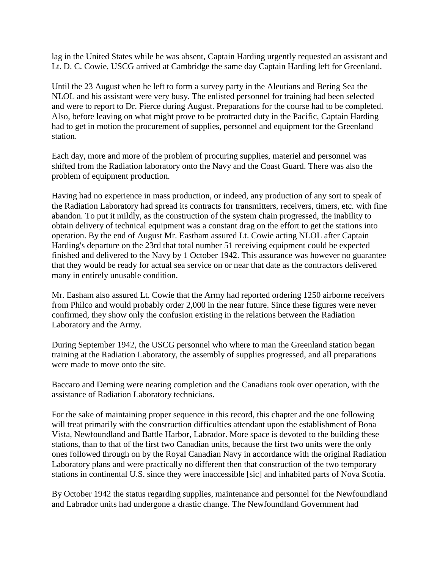lag in the United States while he was absent, Captain Harding urgently requested an assistant and Lt. D. C. Cowie, USCG arrived at Cambridge the same day Captain Harding left for Greenland.

Until the 23 August when he left to form a survey party in the Aleutians and Bering Sea the NLOL and his assistant were very busy. The enlisted personnel for training had been selected and were to report to Dr. Pierce during August. Preparations for the course had to be completed. Also, before leaving on what might prove to be protracted duty in the Pacific, Captain Harding had to get in motion the procurement of supplies, personnel and equipment for the Greenland station.

Each day, more and more of the problem of procuring supplies, materiel and personnel was shifted from the Radiation laboratory onto the Navy and the Coast Guard. There was also the problem of equipment production.

Having had no experience in mass production, or indeed, any production of any sort to speak of the Radiation Laboratory had spread its contracts for transmitters, receivers, timers, etc. with fine abandon. To put it mildly, as the construction of the system chain progressed, the inability to obtain delivery of technical equipment was a constant drag on the effort to get the stations into operation. By the end of August Mr. Eastham assured Lt. Cowie acting NLOL after Captain Harding's departure on the 23rd that total number 51 receiving equipment could be expected finished and delivered to the Navy by 1 October 1942. This assurance was however no guarantee that they would be ready for actual sea service on or near that date as the contractors delivered many in entirely unusable condition.

Mr. Easham also assured Lt. Cowie that the Army had reported ordering 1250 airborne receivers from Philco and would probably order 2,000 in the near future. Since these figures were never confirmed, they show only the confusion existing in the relations between the Radiation Laboratory and the Army.

During September 1942, the USCG personnel who where to man the Greenland station began training at the Radiation Laboratory, the assembly of supplies progressed, and all preparations were made to move onto the site.

Baccaro and Deming were nearing completion and the Canadians took over operation, with the assistance of Radiation Laboratory technicians.

For the sake of maintaining proper sequence in this record, this chapter and the one following will treat primarily with the construction difficulties attendant upon the establishment of Bona Vista, Newfoundland and Battle Harbor, Labrador. More space is devoted to the building these stations, than to that of the first two Canadian units, because the first two units were the only ones followed through on by the Royal Canadian Navy in accordance with the original Radiation Laboratory plans and were practically no different then that construction of the two temporary stations in continental U.S. since they were inaccessible [sic] and inhabited parts of Nova Scotia.

By October 1942 the status regarding supplies, maintenance and personnel for the Newfoundland and Labrador units had undergone a drastic change. The Newfoundland Government had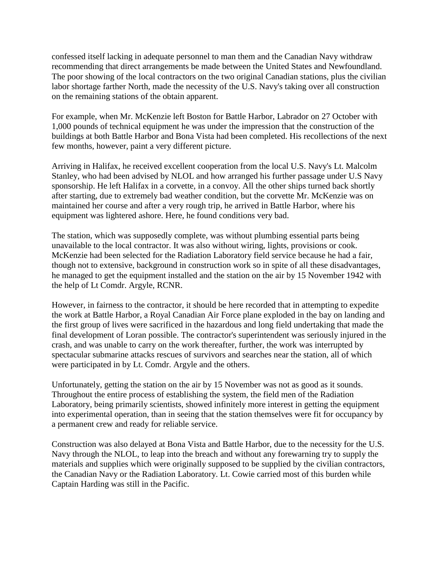confessed itself lacking in adequate personnel to man them and the Canadian Navy withdraw recommending that direct arrangements be made between the United States and Newfoundland. The poor showing of the local contractors on the two original Canadian stations, plus the civilian labor shortage farther North, made the necessity of the U.S. Navy's taking over all construction on the remaining stations of the obtain apparent.

For example, when Mr. McKenzie left Boston for Battle Harbor, Labrador on 27 October with 1,000 pounds of technical equipment he was under the impression that the construction of the buildings at both Battle Harbor and Bona Vista had been completed. His recollections of the next few months, however, paint a very different picture.

Arriving in Halifax, he received excellent cooperation from the local U.S. Navy's Lt. Malcolm Stanley, who had been advised by NLOL and how arranged his further passage under U.S Navy sponsorship. He left Halifax in a corvette, in a convoy. All the other ships turned back shortly after starting, due to extremely bad weather condition, but the corvette Mr. McKenzie was on maintained her course and after a very rough trip, he arrived in Battle Harbor, where his equipment was lightered ashore. Here, he found conditions very bad.

The station, which was supposedly complete, was without plumbing essential parts being unavailable to the local contractor. It was also without wiring, lights, provisions or cook. McKenzie had been selected for the Radiation Laboratory field service because he had a fair, though not to extensive, background in construction work so in spite of all these disadvantages, he managed to get the equipment installed and the station on the air by 15 November 1942 with the help of Lt Comdr. Argyle, RCNR.

However, in fairness to the contractor, it should be here recorded that in attempting to expedite the work at Battle Harbor, a Royal Canadian Air Force plane exploded in the bay on landing and the first group of lives were sacrificed in the hazardous and long field undertaking that made the final development of Loran possible. The contractor's superintendent was seriously injured in the crash, and was unable to carry on the work thereafter, further, the work was interrupted by spectacular submarine attacks rescues of survivors and searches near the station, all of which were participated in by Lt. Comdr. Argyle and the others.

Unfortunately, getting the station on the air by 15 November was not as good as it sounds. Throughout the entire process of establishing the system, the field men of the Radiation Laboratory, being primarily scientists, showed infinitely more interest in getting the equipment into experimental operation, than in seeing that the station themselves were fit for occupancy by a permanent crew and ready for reliable service.

Construction was also delayed at Bona Vista and Battle Harbor, due to the necessity for the U.S. Navy through the NLOL, to leap into the breach and without any forewarning try to supply the materials and supplies which were originally supposed to be supplied by the civilian contractors, the Canadian Navy or the Radiation Laboratory. Lt. Cowie carried most of this burden while Captain Harding was still in the Pacific.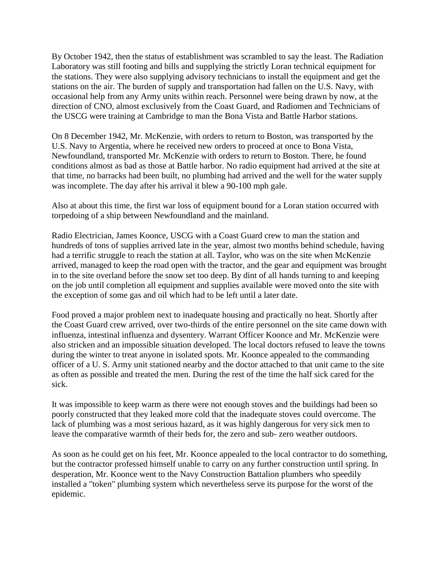By October 1942, then the status of establishment was scrambled to say the least. The Radiation Laboratory was still footing and bills and supplying the strictly Loran technical equipment for the stations. They were also supplying advisory technicians to install the equipment and get the stations on the air. The burden of supply and transportation had fallen on the U.S. Navy, with occasional help from any Army units within reach. Personnel were being drawn by now, at the direction of CNO, almost exclusively from the Coast Guard, and Radiomen and Technicians of the USCG were training at Cambridge to man the Bona Vista and Battle Harbor stations.

On 8 December 1942, Mr. McKenzie, with orders to return to Boston, was transported by the U.S. Navy to Argentia, where he received new orders to proceed at once to Bona Vista, Newfoundland, transported Mr. McKenzie with orders to return to Boston. There, he found conditions almost as bad as those at Battle harbor. No radio equipment had arrived at the site at that time, no barracks had been built, no plumbing had arrived and the well for the water supply was incomplete. The day after his arrival it blew a 90-100 mph gale.

Also at about this time, the first war loss of equipment bound for a Loran station occurred with torpedoing of a ship between Newfoundland and the mainland.

Radio Electrician, James Koonce, USCG with a Coast Guard crew to man the station and hundreds of tons of supplies arrived late in the year, almost two months behind schedule, having had a terrific struggle to reach the station at all. Taylor, who was on the site when McKenzie arrived, managed to keep the road open with the tractor, and the gear and equipment was brought in to the site overland before the snow set too deep. By dint of all hands turning to and keeping on the job until completion all equipment and supplies available were moved onto the site with the exception of some gas and oil which had to be left until a later date.

Food proved a major problem next to inadequate housing and practically no heat. Shortly after the Coast Guard crew arrived, over two-thirds of the entire personnel on the site came down with influenza, intestinal influenza and dysentery. Warrant Officer Koonce and Mr. McKenzie were also stricken and an impossible situation developed. The local doctors refused to leave the towns during the winter to treat anyone in isolated spots. Mr. Koonce appealed to the commanding officer of a U. S. Army unit stationed nearby and the doctor attached to that unit came to the site as often as possible and treated the men. During the rest of the time the half sick cared for the sick.

It was impossible to keep warm as there were not enough stoves and the buildings had been so poorly constructed that they leaked more cold that the inadequate stoves could overcome. The lack of plumbing was a most serious hazard, as it was highly dangerous for very sick men to leave the comparative warmth of their beds for, the zero and sub- zero weather outdoors.

As soon as he could get on his feet, Mr. Koonce appealed to the local contractor to do something, but the contractor professed himself unable to carry on any further construction until spring. In desperation, Mr. Koonce went to the Navy Construction Battalion plumbers who speedily installed a "token" plumbing system which nevertheless serve its purpose for the worst of the epidemic.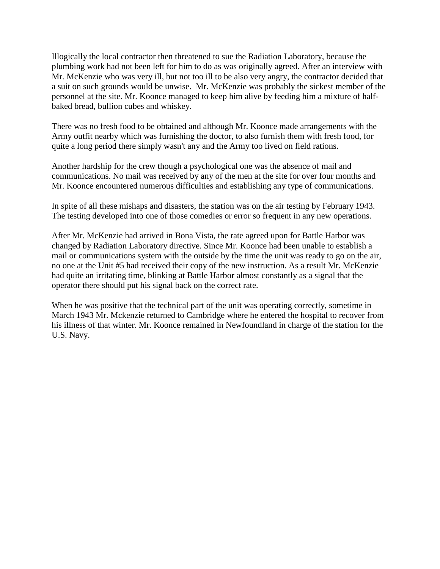Illogically the local contractor then threatened to sue the Radiation Laboratory, because the plumbing work had not been left for him to do as was originally agreed. After an interview with Mr. McKenzie who was very ill, but not too ill to be also very angry, the contractor decided that a suit on such grounds would be unwise. Mr. McKenzie was probably the sickest member of the personnel at the site. Mr. Koonce managed to keep him alive by feeding him a mixture of halfbaked bread, bullion cubes and whiskey.

There was no fresh food to be obtained and although Mr. Koonce made arrangements with the Army outfit nearby which was furnishing the doctor, to also furnish them with fresh food, for quite a long period there simply wasn't any and the Army too lived on field rations.

Another hardship for the crew though a psychological one was the absence of mail and communications. No mail was received by any of the men at the site for over four months and Mr. Koonce encountered numerous difficulties and establishing any type of communications.

In spite of all these mishaps and disasters, the station was on the air testing by February 1943. The testing developed into one of those comedies or error so frequent in any new operations.

After Mr. McKenzie had arrived in Bona Vista, the rate agreed upon for Battle Harbor was changed by Radiation Laboratory directive. Since Mr. Koonce had been unable to establish a mail or communications system with the outside by the time the unit was ready to go on the air, no one at the Unit #5 had received their copy of the new instruction. As a result Mr. McKenzie had quite an irritating time, blinking at Battle Harbor almost constantly as a signal that the operator there should put his signal back on the correct rate.

When he was positive that the technical part of the unit was operating correctly, sometime in March 1943 Mr. Mckenzie returned to Cambridge where he entered the hospital to recover from his illness of that winter. Mr. Koonce remained in Newfoundland in charge of the station for the U.S. Navy.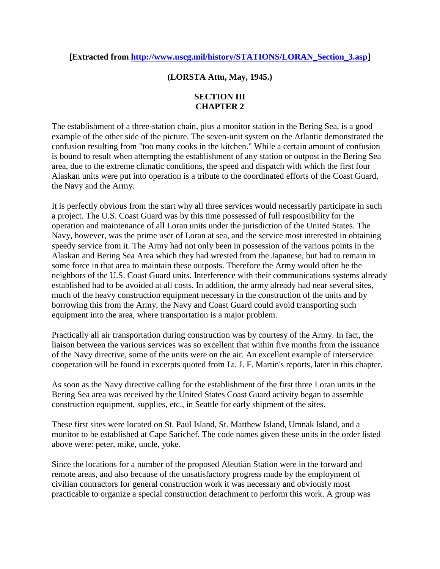## **[Extracted from [http://www.uscg.mil/history/STATIONS/LORAN\\_Section\\_3.asp\]](http://www.uscg.mil/history/STATIONS/LORAN_Section_3.asp)**

## **(LORSTA Attu, May, 1945.)**

## **SECTION III CHAPTER 2**

The establishment of a three-station chain, plus a monitor station in the Bering Sea, is a good example of the other side of the picture. The seven-unit system on the Atlantic demonstrated the confusion resulting from "too many cooks in the kitchen." While a certain amount of confusion is bound to result when attempting the establishment of any station or outpost in the Bering Sea area, due to the extreme climatic conditions, the speed and dispatch with which the first four Alaskan units were put into operation is a tribute to the coordinated efforts of the Coast Guard, the Navy and the Army.

It is perfectly obvious from the start why all three services would necessarily participate in such a project. The U.S. Coast Guard was by this time possessed of full responsibility for the operation and maintenance of all Loran units under the jurisdiction of the United States. The Navy, however, was the prime user of Loran at sea, and the service most interested in obtaining speedy service from it. The Army had not only been in possession of the various points in the Alaskan and Bering Sea Area which they had wrested from the Japanese, but had to remain in some force in that area to maintain these outposts. Therefore the Army would often be the neighbors of the U.S. Coast Guard units. Interference with their communications systems already established had to be avoided at all costs. In addition, the army already had near several sites, much of the heavy construction equipment necessary in the construction of the units and by borrowing this from the Army, the Navy and Coast Guard could avoid transporting such equipment into the area, where transportation is a major problem.

Practically all air transportation during construction was by courtesy of the Army. In fact, the liaison between the various services was so excellent that within five months from the issuance of the Navy directive, some of the units were on the air. An excellent example of interservice cooperation will be found in excerpts quoted from Lt. J. F. Martin's reports, later in this chapter.

As soon as the Navy directive calling for the establishment of the first three Loran units in the Bering Sea area was received by the United States Coast Guard activity began to assemble construction equipment, supplies, etc., in Seattle for early shipment of the sites.

These first sites were located on St. Paul Island, St. Matthew Island, Umnak Island, and a monitor to be established at Cape Sarichef. The code names given these units in the order listed above were: peter, mike, uncle, yoke.

Since the locations for a number of the proposed Aleutian Station were in the forward and remote areas, and also because of the unsatisfactory progress made by the employment of civilian contractors for general construction work it was necessary and obviously most practicable to organize a special construction detachment to perform this work. A group was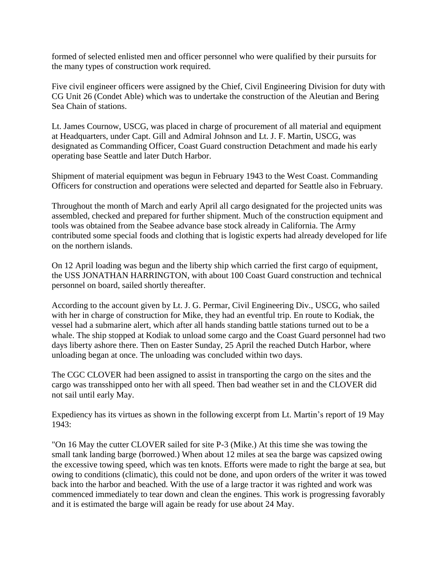formed of selected enlisted men and officer personnel who were qualified by their pursuits for the many types of construction work required.

Five civil engineer officers were assigned by the Chief, Civil Engineering Division for duty with CG Unit 26 (Condet Able) which was to undertake the construction of the Aleutian and Bering Sea Chain of stations.

Lt. James Cournow, USCG, was placed in charge of procurement of all material and equipment at Headquarters, under Capt. Gill and Admiral Johnson and Lt. J. F. Martin, USCG, was designated as Commanding Officer, Coast Guard construction Detachment and made his early operating base Seattle and later Dutch Harbor.

Shipment of material equipment was begun in February 1943 to the West Coast. Commanding Officers for construction and operations were selected and departed for Seattle also in February.

Throughout the month of March and early April all cargo designated for the projected units was assembled, checked and prepared for further shipment. Much of the construction equipment and tools was obtained from the Seabee advance base stock already in California. The Army contributed some special foods and clothing that is logistic experts had already developed for life on the northern islands.

On 12 April loading was begun and the liberty ship which carried the first cargo of equipment, the USS JONATHAN HARRINGTON, with about 100 Coast Guard construction and technical personnel on board, sailed shortly thereafter.

According to the account given by Lt. J. G. Permar, Civil Engineering Div., USCG, who sailed with her in charge of construction for Mike, they had an eventful trip. En route to Kodiak, the vessel had a submarine alert, which after all hands standing battle stations turned out to be a whale. The ship stopped at Kodiak to unload some cargo and the Coast Guard personnel had two days liberty ashore there. Then on Easter Sunday, 25 April the reached Dutch Harbor, where unloading began at once. The unloading was concluded within two days.

The CGC CLOVER had been assigned to assist in transporting the cargo on the sites and the cargo was transshipped onto her with all speed. Then bad weather set in and the CLOVER did not sail until early May.

Expediency has its virtues as shown in the following excerpt from Lt. Martin's report of 19 May 1943:

"On 16 May the cutter CLOVER sailed for site P-3 (Mike.) At this time she was towing the small tank landing barge (borrowed.) When about 12 miles at sea the barge was capsized owing the excessive towing speed, which was ten knots. Efforts were made to right the barge at sea, but owing to conditions (climatic), this could not be done, and upon orders of the writer it was towed back into the harbor and beached. With the use of a large tractor it was righted and work was commenced immediately to tear down and clean the engines. This work is progressing favorably and it is estimated the barge will again be ready for use about 24 May.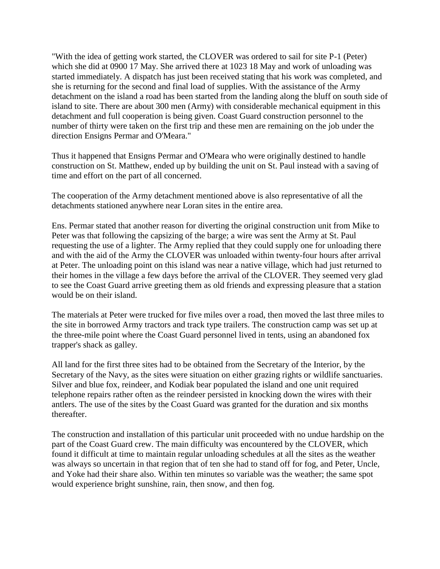"With the idea of getting work started, the CLOVER was ordered to sail for site P-1 (Peter) which she did at 0900 17 May. She arrived there at 1023 18 May and work of unloading was started immediately. A dispatch has just been received stating that his work was completed, and she is returning for the second and final load of supplies. With the assistance of the Army detachment on the island a road has been started from the landing along the bluff on south side of island to site. There are about 300 men (Army) with considerable mechanical equipment in this detachment and full cooperation is being given. Coast Guard construction personnel to the number of thirty were taken on the first trip and these men are remaining on the job under the direction Ensigns Permar and O'Meara."

Thus it happened that Ensigns Permar and O'Meara who were originally destined to handle construction on St. Matthew, ended up by building the unit on St. Paul instead with a saving of time and effort on the part of all concerned.

The cooperation of the Army detachment mentioned above is also representative of all the detachments stationed anywhere near Loran sites in the entire area.

Ens. Permar stated that another reason for diverting the original construction unit from Mike to Peter was that following the capsizing of the barge; a wire was sent the Army at St. Paul requesting the use of a lighter. The Army replied that they could supply one for unloading there and with the aid of the Army the CLOVER was unloaded within twenty-four hours after arrival at Peter. The unloading point on this island was near a native village, which had just returned to their homes in the village a few days before the arrival of the CLOVER. They seemed very glad to see the Coast Guard arrive greeting them as old friends and expressing pleasure that a station would be on their island.

The materials at Peter were trucked for five miles over a road, then moved the last three miles to the site in borrowed Army tractors and track type trailers. The construction camp was set up at the three-mile point where the Coast Guard personnel lived in tents, using an abandoned fox trapper's shack as galley.

All land for the first three sites had to be obtained from the Secretary of the Interior, by the Secretary of the Navy, as the sites were situation on either grazing rights or wildlife sanctuaries. Silver and blue fox, reindeer, and Kodiak bear populated the island and one unit required telephone repairs rather often as the reindeer persisted in knocking down the wires with their antlers. The use of the sites by the Coast Guard was granted for the duration and six months thereafter.

The construction and installation of this particular unit proceeded with no undue hardship on the part of the Coast Guard crew. The main difficulty was encountered by the CLOVER, which found it difficult at time to maintain regular unloading schedules at all the sites as the weather was always so uncertain in that region that of ten she had to stand off for fog, and Peter, Uncle, and Yoke had their share also. Within ten minutes so variable was the weather; the same spot would experience bright sunshine, rain, then snow, and then fog.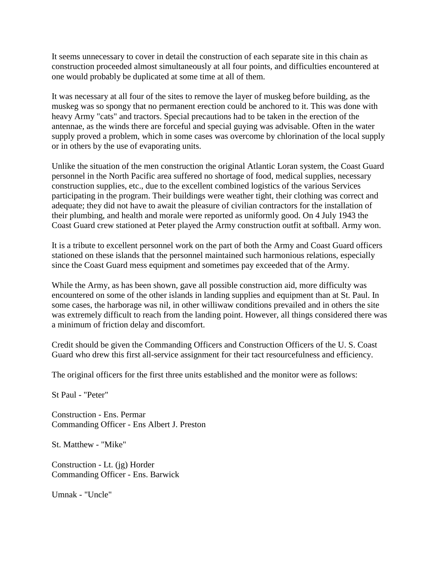It seems unnecessary to cover in detail the construction of each separate site in this chain as construction proceeded almost simultaneously at all four points, and difficulties encountered at one would probably be duplicated at some time at all of them.

It was necessary at all four of the sites to remove the layer of muskeg before building, as the muskeg was so spongy that no permanent erection could be anchored to it. This was done with heavy Army "cats" and tractors. Special precautions had to be taken in the erection of the antennae, as the winds there are forceful and special guying was advisable. Often in the water supply proved a problem, which in some cases was overcome by chlorination of the local supply or in others by the use of evaporating units.

Unlike the situation of the men construction the original Atlantic Loran system, the Coast Guard personnel in the North Pacific area suffered no shortage of food, medical supplies, necessary construction supplies, etc., due to the excellent combined logistics of the various Services participating in the program. Their buildings were weather tight, their clothing was correct and adequate; they did not have to await the pleasure of civilian contractors for the installation of their plumbing, and health and morale were reported as uniformly good. On 4 July 1943 the Coast Guard crew stationed at Peter played the Army construction outfit at softball. Army won.

It is a tribute to excellent personnel work on the part of both the Army and Coast Guard officers stationed on these islands that the personnel maintained such harmonious relations, especially since the Coast Guard mess equipment and sometimes pay exceeded that of the Army.

While the Army, as has been shown, gave all possible construction aid, more difficulty was encountered on some of the other islands in landing supplies and equipment than at St. Paul. In some cases, the harborage was nil, in other williwaw conditions prevailed and in others the site was extremely difficult to reach from the landing point. However, all things considered there was a minimum of friction delay and discomfort.

Credit should be given the Commanding Officers and Construction Officers of the U. S. Coast Guard who drew this first all-service assignment for their tact resourcefulness and efficiency.

The original officers for the first three units established and the monitor were as follows:

St Paul - "Peter"

Construction - Ens. Permar Commanding Officer - Ens Albert J. Preston

St. Matthew - "Mike"

Construction - Lt. (jg) Horder Commanding Officer - Ens. Barwick

Umnak - "Uncle"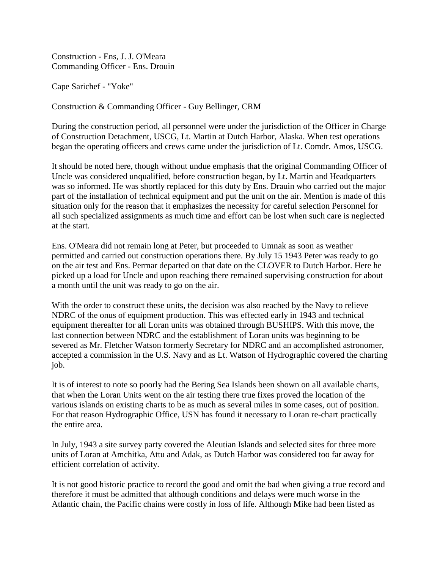Construction - Ens, J. J. O'Meara Commanding Officer - Ens. Drouin

Cape Sarichef - "Yoke"

Construction & Commanding Officer - Guy Bellinger, CRM

During the construction period, all personnel were under the jurisdiction of the Officer in Charge of Construction Detachment, USCG, Lt. Martin at Dutch Harbor, Alaska. When test operations began the operating officers and crews came under the jurisdiction of Lt. Comdr. Amos, USCG.

It should be noted here, though without undue emphasis that the original Commanding Officer of Uncle was considered unqualified, before construction began, by Lt. Martin and Headquarters was so informed. He was shortly replaced for this duty by Ens. Drauin who carried out the major part of the installation of technical equipment and put the unit on the air. Mention is made of this situation only for the reason that it emphasizes the necessity for careful selection Personnel for all such specialized assignments as much time and effort can be lost when such care is neglected at the start.

Ens. O'Meara did not remain long at Peter, but proceeded to Umnak as soon as weather permitted and carried out construction operations there. By July 15 1943 Peter was ready to go on the air test and Ens. Permar departed on that date on the CLOVER to Dutch Harbor. Here he picked up a load for Uncle and upon reaching there remained supervising construction for about a month until the unit was ready to go on the air.

With the order to construct these units, the decision was also reached by the Navy to relieve NDRC of the onus of equipment production. This was effected early in 1943 and technical equipment thereafter for all Loran units was obtained through BUSHIPS. With this move, the last connection between NDRC and the establishment of Loran units was beginning to be severed as Mr. Fletcher Watson formerly Secretary for NDRC and an accomplished astronomer, accepted a commission in the U.S. Navy and as Lt. Watson of Hydrographic covered the charting job.

It is of interest to note so poorly had the Bering Sea Islands been shown on all available charts, that when the Loran Units went on the air testing there true fixes proved the location of the various islands on existing charts to be as much as several miles in some cases, out of position. For that reason Hydrographic Office, USN has found it necessary to Loran re-chart practically the entire area.

In July, 1943 a site survey party covered the Aleutian Islands and selected sites for three more units of Loran at Amchitka, Attu and Adak, as Dutch Harbor was considered too far away for efficient correlation of activity.

It is not good historic practice to record the good and omit the bad when giving a true record and therefore it must be admitted that although conditions and delays were much worse in the Atlantic chain, the Pacific chains were costly in loss of life. Although Mike had been listed as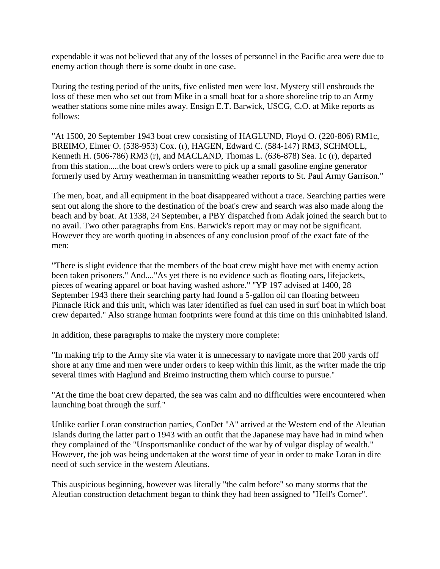expendable it was not believed that any of the losses of personnel in the Pacific area were due to enemy action though there is some doubt in one case.

During the testing period of the units, five enlisted men were lost. Mystery still enshrouds the loss of these men who set out from Mike in a small boat for a shore shoreline trip to an Army weather stations some nine miles away. Ensign E.T. Barwick, USCG, C.O. at Mike reports as follows:

"At 1500, 20 September 1943 boat crew consisting of HAGLUND, Floyd O. (220-806) RM1c, BREIMO, Elmer O. (538-953) Cox. (r), HAGEN, Edward C. (584-147) RM3, SCHMOLL, Kenneth H. (506-786) RM3 (r), and MACLAND, Thomas L. (636-878) Sea. 1c (r), departed from this station.....the boat crew's orders were to pick up a small gasoline engine generator formerly used by Army weatherman in transmitting weather reports to St. Paul Army Garrison."

The men, boat, and all equipment in the boat disappeared without a trace. Searching parties were sent out along the shore to the destination of the boat's crew and search was also made along the beach and by boat. At 1338, 24 September, a PBY dispatched from Adak joined the search but to no avail. Two other paragraphs from Ens. Barwick's report may or may not be significant. However they are worth quoting in absences of any conclusion proof of the exact fate of the men:

"There is slight evidence that the members of the boat crew might have met with enemy action been taken prisoners." And...."As yet there is no evidence such as floating oars, lifejackets, pieces of wearing apparel or boat having washed ashore." "YP 197 advised at 1400, 28 September 1943 there their searching party had found a 5-gallon oil can floating between Pinnacle Rick and this unit, which was later identified as fuel can used in surf boat in which boat crew departed." Also strange human footprints were found at this time on this uninhabited island.

In addition, these paragraphs to make the mystery more complete:

"In making trip to the Army site via water it is unnecessary to navigate more that 200 yards off shore at any time and men were under orders to keep within this limit, as the writer made the trip several times with Haglund and Breimo instructing them which course to pursue."

"At the time the boat crew departed, the sea was calm and no difficulties were encountered when launching boat through the surf."

Unlike earlier Loran construction parties, ConDet "A" arrived at the Western end of the Aleutian Islands during the latter part o 1943 with an outfit that the Japanese may have had in mind when they complained of the "Unsportsmanlike conduct of the war by of vulgar display of wealth." However, the job was being undertaken at the worst time of year in order to make Loran in dire need of such service in the western Aleutians.

This auspicious beginning, however was literally "the calm before" so many storms that the Aleutian construction detachment began to think they had been assigned to "Hell's Corner".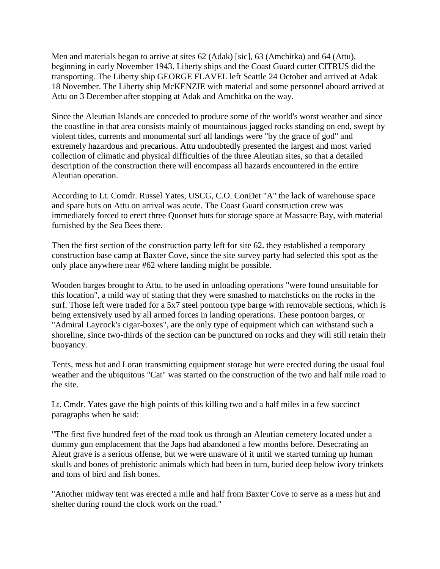Men and materials began to arrive at sites 62 (Adak) [sic], 63 (Amchitka) and 64 (Attu), beginning in early November 1943. Liberty ships and the Coast Guard cutter CITRUS did the transporting. The Liberty ship GEORGE FLAVEL left Seattle 24 October and arrived at Adak 18 November. The Liberty ship McKENZIE with material and some personnel aboard arrived at Attu on 3 December after stopping at Adak and Amchitka on the way.

Since the Aleutian Islands are conceded to produce some of the world's worst weather and since the coastline in that area consists mainly of mountainous jagged rocks standing on end, swept by violent tides, currents and monumental surf all landings were "by the grace of god" and extremely hazardous and precarious. Attu undoubtedly presented the largest and most varied collection of climatic and physical difficulties of the three Aleutian sites, so that a detailed description of the construction there will encompass all hazards encountered in the entire Aleutian operation.

According to Lt. Comdr. Russel Yates, USCG, C.O. ConDet "A" the lack of warehouse space and spare huts on Attu on arrival was acute. The Coast Guard construction crew was immediately forced to erect three Quonset huts for storage space at Massacre Bay, with material furnished by the Sea Bees there.

Then the first section of the construction party left for site 62. they established a temporary construction base camp at Baxter Cove, since the site survey party had selected this spot as the only place anywhere near #62 where landing might be possible.

Wooden barges brought to Attu, to be used in unloading operations "were found unsuitable for this location", a mild way of stating that they were smashed to matchsticks on the rocks in the surf. Those left were traded for a 5x7 steel pontoon type barge with removable sections, which is being extensively used by all armed forces in landing operations. These pontoon barges, or "Admiral Laycock's cigar-boxes", are the only type of equipment which can withstand such a shoreline, since two-thirds of the section can be punctured on rocks and they will still retain their buoyancy.

Tents, mess hut and Loran transmitting equipment storage hut were erected during the usual foul weather and the ubiquitous "Cat" was started on the construction of the two and half mile road to the site.

Lt. Cmdr. Yates gave the high points of this killing two and a half miles in a few succinct paragraphs when he said:

"The first five hundred feet of the road took us through an Aleutian cemetery located under a dummy gun emplacement that the Japs had abandoned a few months before. Desecrating an Aleut grave is a serious offense, but we were unaware of it until we started turning up human skulls and bones of prehistoric animals which had been in turn, buried deep below ivory trinkets and tons of bird and fish bones.

"Another midway tent was erected a mile and half from Baxter Cove to serve as a mess hut and shelter during round the clock work on the road."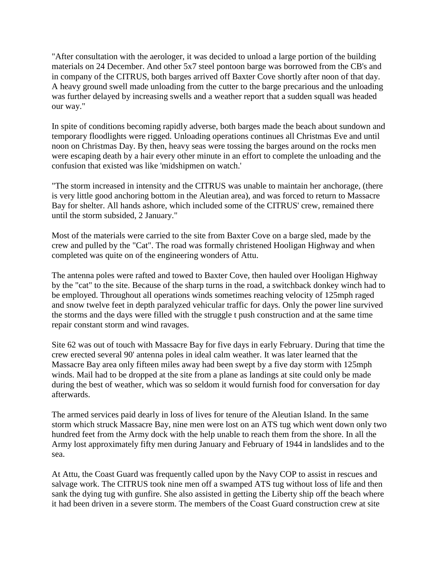"After consultation with the aerologer, it was decided to unload a large portion of the building materials on 24 December. And other 5x7 steel pontoon barge was borrowed from the CB's and in company of the CITRUS, both barges arrived off Baxter Cove shortly after noon of that day. A heavy ground swell made unloading from the cutter to the barge precarious and the unloading was further delayed by increasing swells and a weather report that a sudden squall was headed our way."

In spite of conditions becoming rapidly adverse, both barges made the beach about sundown and temporary floodlights were rigged. Unloading operations continues all Christmas Eve and until noon on Christmas Day. By then, heavy seas were tossing the barges around on the rocks men were escaping death by a hair every other minute in an effort to complete the unloading and the confusion that existed was like 'midshipmen on watch.'

"The storm increased in intensity and the CITRUS was unable to maintain her anchorage, (there is very little good anchoring bottom in the Aleutian area), and was forced to return to Massacre Bay for shelter. All hands ashore, which included some of the CITRUS' crew, remained there until the storm subsided, 2 January."

Most of the materials were carried to the site from Baxter Cove on a barge sled, made by the crew and pulled by the "Cat". The road was formally christened Hooligan Highway and when completed was quite on of the engineering wonders of Attu.

The antenna poles were rafted and towed to Baxter Cove, then hauled over Hooligan Highway by the "cat" to the site. Because of the sharp turns in the road, a switchback donkey winch had to be employed. Throughout all operations winds sometimes reaching velocity of 125mph raged and snow twelve feet in depth paralyzed vehicular traffic for days. Only the power line survived the storms and the days were filled with the struggle t push construction and at the same time repair constant storm and wind ravages.

Site 62 was out of touch with Massacre Bay for five days in early February. During that time the crew erected several 90' antenna poles in ideal calm weather. It was later learned that the Massacre Bay area only fifteen miles away had been swept by a five day storm with 125mph winds. Mail had to be dropped at the site from a plane as landings at site could only be made during the best of weather, which was so seldom it would furnish food for conversation for day afterwards.

The armed services paid dearly in loss of lives for tenure of the Aleutian Island. In the same storm which struck Massacre Bay, nine men were lost on an ATS tug which went down only two hundred feet from the Army dock with the help unable to reach them from the shore. In all the Army lost approximately fifty men during January and February of 1944 in landslides and to the sea.

At Attu, the Coast Guard was frequently called upon by the Navy COP to assist in rescues and salvage work. The CITRUS took nine men off a swamped ATS tug without loss of life and then sank the dying tug with gunfire. She also assisted in getting the Liberty ship off the beach where it had been driven in a severe storm. The members of the Coast Guard construction crew at site